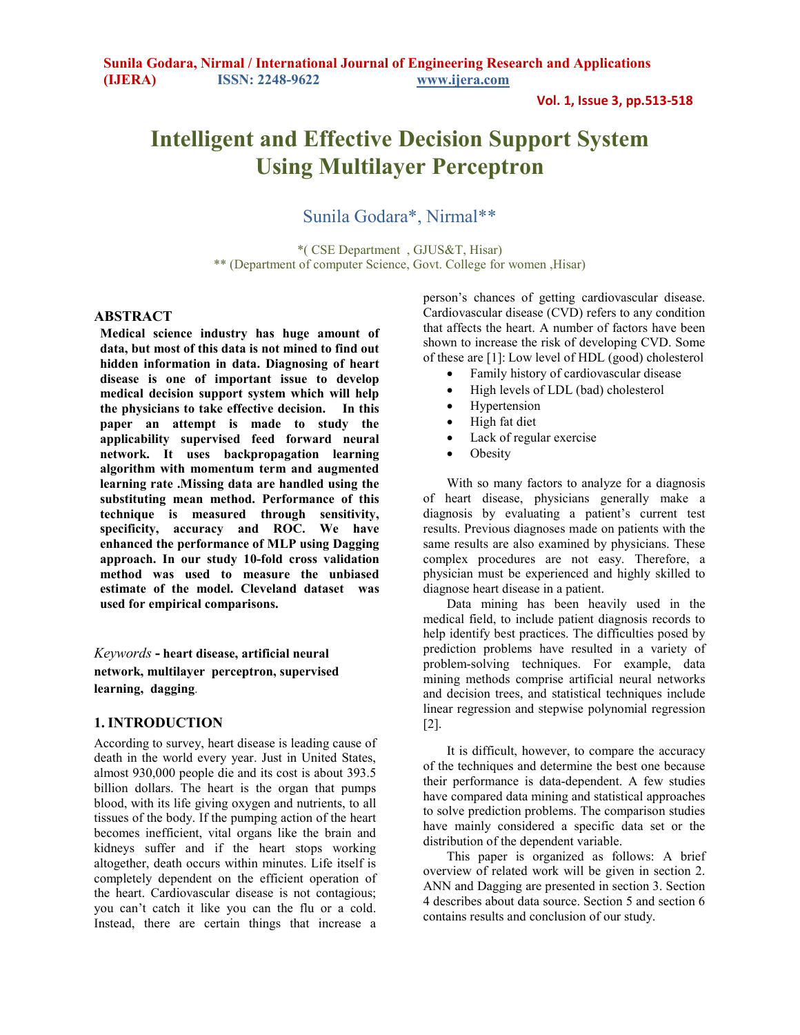# **Intelligent and Effective Decision Support System Using Multilayer Perceptron**

# Sunila Godara\*, Nirmal\*\*

\*( CSE Department , GJUS&T, Hisar) \*\* (Department of computer Science, Govt. College for women ,Hisar)

### **ABSTRACT**

**Medical science industry has huge amount of data, but most of this data is not mined to find out hidden information in data. Diagnosing of heart disease is one of important issue to develop medical decision support system which will help the physicians to take effective decision. In this paper an attempt is made to study the applicability supervised feed forward neural network. It uses backpropagation learning algorithm with momentum term and augmented learning rate .Missing data are handled using the substituting mean method. Performance of this technique is measured through sensitivity, specificity, accuracy and ROC. We have enhanced the performance of MLP using Dagging approach. In our study 10-fold cross validation method was used to measure the unbiased estimate of the model. Cleveland dataset was used for empirical comparisons.** 

*Keywords* **- heart disease, artificial neural network, multilayer perceptron, supervised learning, dagging**.

#### **1. INTRODUCTION**

According to survey, heart disease is leading cause of death in the world every year. Just in United States, almost 930,000 people die and its cost is about 393.5 billion dollars. The heart is the organ that pumps blood, with its life giving oxygen and nutrients, to all tissues of the body. If the pumping action of the heart becomes inefficient, vital organs like the brain and kidneys suffer and if the heart stops working altogether, death occurs within minutes. Life itself is completely dependent on the efficient operation of the heart. Cardiovascular disease is not contagious; you can't catch it like you can the flu or a cold. Instead, there are certain things that increase a

person's chances of getting cardiovascular disease. Cardiovascular disease (CVD) refers to any condition that affects the heart. A number of factors have been shown to increase the risk of developing CVD. Some of these are [1]: Low level of HDL (good) cholesterol

- Family history of cardiovascular disease
- High levels of LDL (bad) cholesterol
- Hypertension
- High fat diet
- Lack of regular exercise
- **Obesity**

With so many factors to analyze for a diagnosis of heart disease, physicians generally make a diagnosis by evaluating a patient's current test results. Previous diagnoses made on patients with the same results are also examined by physicians. These complex procedures are not easy. Therefore, a physician must be experienced and highly skilled to diagnose heart disease in a patient.

Data mining has been heavily used in the medical field, to include patient diagnosis records to help identify best practices. The difficulties posed by prediction problems have resulted in a variety of problem-solving techniques. For example, data mining methods comprise artificial neural networks and decision trees, and statistical techniques include linear regression and stepwise polynomial regression [2].

It is difficult, however, to compare the accuracy of the techniques and determine the best one because their performance is data-dependent. A few studies have compared data mining and statistical approaches to solve prediction problems. The comparison studies have mainly considered a specific data set or the distribution of the dependent variable.

This paper is organized as follows: A brief overview of related work will be given in section 2. ANN and Dagging are presented in section 3. Section 4 describes about data source. Section 5 and section 6 contains results and conclusion of our study.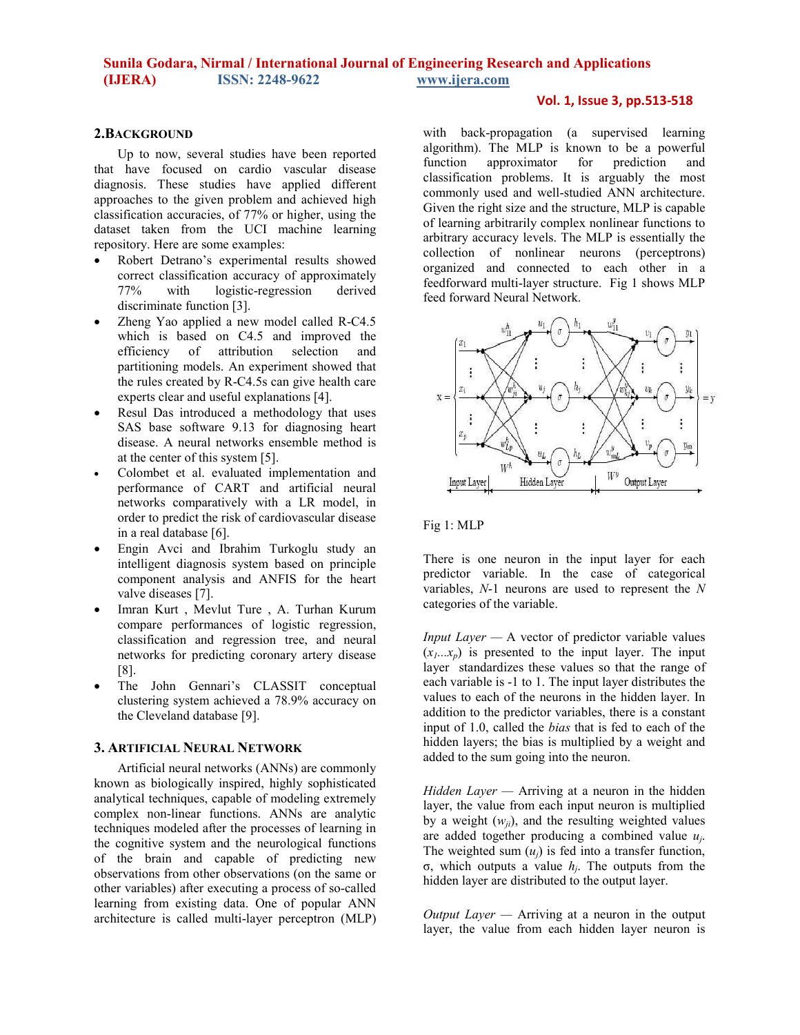### **2.BACKGROUND**

Up to now, several studies have been reported that have focused on cardio vascular disease diagnosis. These studies have applied different approaches to the given problem and achieved high classification accuracies, of 77% or higher, using the dataset taken from the UCI machine learning repository. Here are some examples:

- Robert Detrano's experimental results showed correct classification accuracy of approximately 77% with logistic-regression derived discriminate function [3].
- Zheng Yao applied a new model called R-C4.5 which is based on C4.5 and improved the efficiency of attribution selection and partitioning models. An experiment showed that the rules created by R-C4.5s can give health care experts clear and useful explanations [4].
- Resul Das introduced a methodology that uses SAS base software 9.13 for diagnosing heart disease. A neural networks ensemble method is at the center of this system [5].
- Colombet et al. evaluated implementation and performance of CART and artificial neural networks comparatively with a LR model, in order to predict the risk of cardiovascular disease in a real database [6].
- Engin Avci and Ibrahim Turkoglu study an intelligent diagnosis system based on principle component analysis and ANFIS for the heart valve diseases [7].
- Imran Kurt , Mevlut Ture , A. Turhan Kurum compare performances of logistic regression, classification and regression tree, and neural networks for predicting coronary artery disease [8].
- The John Gennari's CLASSIT conceptual clustering system achieved a 78.9% accuracy on the Cleveland database [9].

### **3. ARTIFICIAL NEURAL NETWORK**

Artificial neural networks (ANNs) are commonly known as biologically inspired, highly sophisticated analytical techniques, capable of modeling extremely complex non-linear functions. ANNs are analytic techniques modeled after the processes of learning in the cognitive system and the neurological functions of the brain and capable of predicting new observations from other observations (on the same or other variables) after executing a process of so-called learning from existing data. One of popular ANN architecture is called multi-layer perceptron (MLP) with back-propagation (a supervised learning algorithm). The MLP is known to be a powerful function approximator for prediction and classification problems. It is arguably the most commonly used and well-studied ANN architecture. Given the right size and the structure, MLP is capable of learning arbitrarily complex nonlinear functions to arbitrary accuracy levels. The MLP is essentially the collection of nonlinear neurons (perceptrons) organized and connected to each other in a feedforward multi-layer structure. Fig 1 shows MLP feed forward Neural Network.





There is one neuron in the input layer for each predictor variable. In the case of categorical variables, *N*-1 neurons are used to represent the *N* categories of the variable.

*Input Layer —* A vector of predictor variable values  $(x_1, x_n)$  is presented to the input layer. The input layer standardizes these values so that the range of each variable is -1 to 1. The input layer distributes the values to each of the neurons in the hidden layer. In addition to the predictor variables, there is a constant input of 1.0, called the *bias* that is fed to each of the hidden layers; the bias is multiplied by a weight and added to the sum going into the neuron.

*Hidden Layer —* Arriving at a neuron in the hidden layer, the value from each input neuron is multiplied by a weight  $(w_{ij})$ , and the resulting weighted values are added together producing a combined value *u<sup>j</sup>* . The weighted sum  $(u_i)$  is fed into a transfer function, σ, which outputs a value *h<sup>j</sup>* . The outputs from the hidden layer are distributed to the output layer.

*Output Layer —* Arriving at a neuron in the output layer, the value from each hidden layer neuron is

### **Vol. 1, Issue 3, pp.513-518**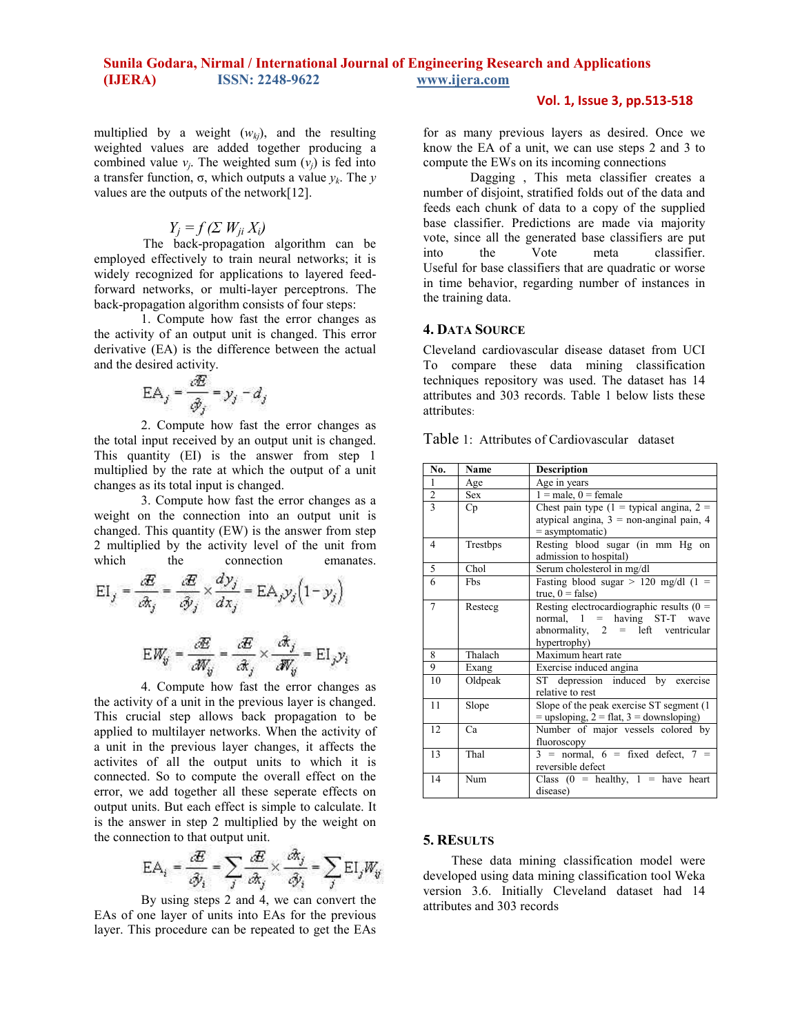# **Vol. 1, Issue 3, pp.513-518**

multiplied by a weight (*wkj*), and the resulting weighted values are added together producing a combined value  $v_j$ . The weighted sum  $(v_j)$  is fed into a transfer function, σ, which outputs a value *y<sup>k</sup>* . The *y* values are the outputs of the network[12].

# $Y_j = f \left( \sum W_{ji} X_i \right)$

 The back-propagation algorithm can be employed effectively to train neural networks; it is widely recognized for applications to layered feedforward networks, or multi-layer perceptrons. The back-propagation algorithm consists of four steps:

1. Compute how fast the error changes as the activity of an output unit is changed. This error derivative (EA) is the difference between the actual and the desired activity.

$$
\text{EA}_j = \frac{\partial \mathcal{B}}{\partial y_j} = y_j - d_j
$$

2. Compute how fast the error changes as the total input received by an output unit is changed. This quantity (EI) is the answer from step 1 multiplied by the rate at which the output of a unit changes as its total input is changed.

3. Compute how fast the error changes as a weight on the connection into an output unit is changed. This quantity (EW) is the answer from step 2 multiplied by the activity level of the unit from which the connection emanates. connection

$$
EI_j = \frac{dE}{dx_j} = \frac{dE}{dy_j} \times \frac{dy_j}{dx_j} = EA_j y_j (1 - y_j)
$$

$$
EM_{ij} = \frac{dE}{dy_j} = \frac{dE}{dy_j} \times \frac{d}{dy_j} = EI_j y_i
$$

4. Compute how fast the error changes as the activity of a unit in the previous layer is changed. This crucial step allows back propagation to be applied to multilayer networks. When the activity of a unit in the previous layer changes, it affects the activites of all the output units to which it is connected. So to compute the overall effect on the error, we add together all these seperate effects on output units. But each effect is simple to calculate. It is the answer in step 2 multiplied by the weight on the connection to that output unit.

$$
\mathrm{EA}_i = \frac{\partial\!\!\!\!E}{\partial\!\!\!\!/\hat{y}_i} = \sum_j \frac{\partial\!\!\!\!E}{\partial\!\!\!\!/\hat{x}_j} \times \frac{\partial\!\!\!\!/\hat{x}_j}{\partial\!\!\!\!/\hat{y}_i} = \sum_j \mathrm{EI}_j W_{ij}
$$

By using steps 2 and 4, we can convert the EAs of one layer of units into EAs for the previous layer. This procedure can be repeated to get the EAs

for as many previous layers as desired. Once we know the EA of a unit, we can use steps 2 and 3 to compute the EWs on its incoming connections

Dagging , This meta classifier creates a number of disjoint, stratified folds out of the data and feeds each chunk of data to a copy of the supplied base classifier. Predictions are made via majority vote, since all the generated base classifiers are put<br>into the Vote meta classifier. into the Vote meta classifier. Useful for base classifiers that are quadratic or worse in time behavior, regarding number of instances in the training data.

### **4. DATA SOURCE**

Cleveland cardiovascular disease dataset from UCI To compare these data mining classification techniques repository was used. The dataset has 14 attributes and 303 records. Table 1 below lists these attributes:

Table 1: Attributes of Cardiovascular dataset

| No.            | <b>Name</b> | <b>Description</b>                                                                                                                          |
|----------------|-------------|---------------------------------------------------------------------------------------------------------------------------------------------|
| $\mathbf{1}$   | Age         | Age in years                                                                                                                                |
| $\overline{2}$ | <b>Sex</b>  | $1 = male$ , $0 = female$                                                                                                                   |
| $\overline{3}$ | Cр          | Chest pain type $(1 =$ typical angina, $2 =$<br>atypical angina, $3 =$ non-anginal pain, 4<br>$=$ asymptomatic)                             |
| 4              | Trestbps    | Resting blood sugar (in mm Hg on<br>admission to hospital)                                                                                  |
| 5              | Chol        | Serum cholesterol in mg/dl                                                                                                                  |
| 6              | Fbs         | Fasting blood sugar $> 120$ mg/dl (1 =<br>true, $0 = false$                                                                                 |
| $\overline{7}$ | Restecg     | Resting electrocardiographic results $(0 =$<br>normal, $1 =$ having ST-T wave<br>abnormality, $2 = \text{left}$ ventricular<br>hypertrophy) |
| 8              | Thalach     | Maximum heart rate                                                                                                                          |
| 9              | Exang       | Exercise induced angina                                                                                                                     |
| 10             | Oldpeak     | ST depression induced by exercise<br>relative to rest                                                                                       |
| 11             | Slope       | Slope of the peak exercise ST segment (1)<br>$=$ upsloping, 2 = flat, 3 = downsloping)                                                      |
| 12             | Ca          | Number of major vessels colored by<br>fluoroscopy                                                                                           |
| 13             | Thal        | $3 =$ normal, $6 =$ fixed defect, $7 =$<br>reversible defect                                                                                |
| 14             | Num         | Class $(0 = \text{ healthy}, 1 = \text{have } \text{heart})$<br>disease)                                                                    |

### **5. RESULTS**

These data mining classification model were developed using data mining classification tool Weka version 3.6. Initially Cleveland dataset had 14 attributes and 303 records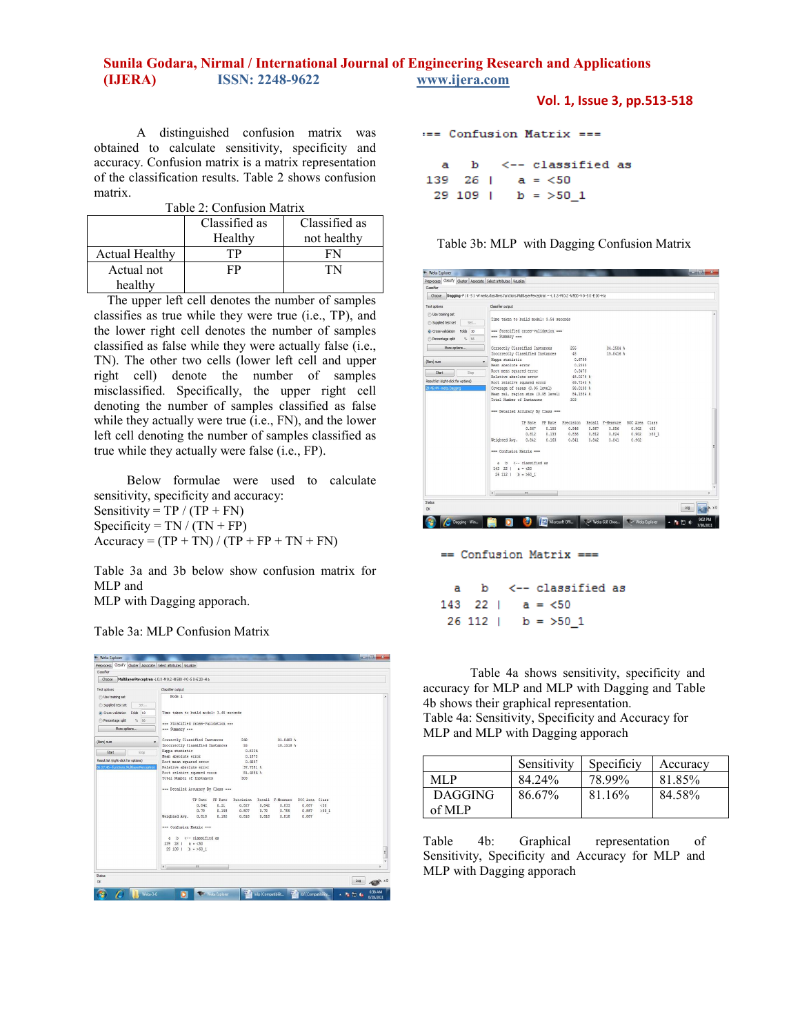## **Sunila Godara, Nirmal / International Journal of Engineering Research and Applications (IJERA) ISSN: 2248-9622 www.ijera.com**

**Vol. 1, Issue 3, pp.513-518**

 A distinguished confusion matrix was obtained to calculate sensitivity, specificity and accuracy. Confusion matrix is a matrix representation of the classification results. Table 2 shows confusion matrix.

| Table 2: Confusion Matrix |               |               |  |  |  |  |
|---------------------------|---------------|---------------|--|--|--|--|
|                           | Classified as | Classified as |  |  |  |  |
|                           | Healthy       | not healthy   |  |  |  |  |
| <b>Actual Healthy</b>     | ГP            |               |  |  |  |  |
| Actual not                | FP            | TN            |  |  |  |  |
| healthy                   |               |               |  |  |  |  |

 The upper left cell denotes the number of samples classifies as true while they were true (i.e., TP), and the lower right cell denotes the number of samples classified as false while they were actually false (i.e., TN). The other two cells (lower left cell and upper right cell) denote the number of samples misclassified. Specifically, the upper right cell denoting the number of samples classified as false while they actually were true (i.e., FN), and the lower left cell denoting the number of samples classified as true while they actually were false (i.e., FP).

 Below formulae were used to calculate sensitivity, specificity and accuracy: Sensitivity =  $TP / (TP + FN)$ Specificity =  $TN / (TN + FP)$  $Accuracy = (TP + TN) / (TP + FP + TN + FN)$ 

Table 3a and 3b below show confusion matrix for MLP and MLP with Dagging apporach.

Table 3a: MLP Confusion Matrix

| * Weka Explorer                                                   |                                                          |               |                                                           |                   |           |                    |        |                   | <b>BELLEVILLE</b><br>$\mathbf{x}$ |
|-------------------------------------------------------------------|----------------------------------------------------------|---------------|-----------------------------------------------------------|-------------------|-----------|--------------------|--------|-------------------|-----------------------------------|
| Preprocess Classify Cluster Associate Select attributes Visualize |                                                          |               |                                                           |                   |           |                    |        |                   |                                   |
| Classifier                                                        |                                                          |               |                                                           |                   |           |                    |        |                   |                                   |
| Choose                                                            | MultilayerPerceptron + 0.3-M 0.2-N 500-V 0-5 0-E 20-H a  |               |                                                           |                   |           |                    |        |                   |                                   |
| Test cotions                                                      | Classifier output                                        |               |                                                           |                   |           |                    |        |                   |                                   |
| <b>In Use training set</b>                                        | Node 1                                                   |               |                                                           |                   |           |                    |        |                   |                                   |
| Suppled test set<br>Set                                           |                                                          |               |                                                           |                   |           |                    |        |                   |                                   |
| Cross-validation Folds 10                                         | Time taken to build model: 3.45 seconds                  |               |                                                           |                   |           |                    |        |                   |                                   |
| 66<br>Percentage splt.<br>$\%$                                    | *** Stratified cross-validation ***                      |               |                                                           |                   |           |                    |        |                   |                                   |
| More options                                                      | --- Sunnary ---                                          |               |                                                           |                   |           |                    |        |                   |                                   |
| (Nom) num                                                         | Correctly Classified Instances<br>۰                      |               | 248                                                       |                   | 81.8482 % |                    |        |                   |                                   |
|                                                                   | Incorrectly Classified Instances<br>Kanpa statistic      |               | 55<br>0.6334                                              |                   | 18,1518 % |                    |        |                   |                                   |
| Stop<br>Start                                                     | Mean absolute error                                      |               | 0.1873                                                    |                   |           |                    |        |                   |                                   |
| Result list (right-click for options)                             | Root mean squared error                                  |               | 0.4057                                                    |                   |           |                    |        |                   |                                   |
| 06:27:46 - functions. MultilaverPerceptron                        | Relative absolute error                                  |               | 37.7581 \                                                 |                   |           |                    |        |                   |                                   |
|                                                                   | Root relative squared error<br>Total Number of Instances |               | 81.4584 %<br>303                                          |                   |           |                    |        |                   |                                   |
|                                                                   |                                                          |               |                                                           |                   |           |                    |        |                   |                                   |
|                                                                   | *** Detailed Accuracy By Class ***                       |               |                                                           |                   |           |                    |        |                   |                                   |
|                                                                   |                                                          |               | TP Rate FP Rate Precision Recall F-Measure ROC Area Class |                   |           |                    |        |                   |                                   |
|                                                                   | 0.842                                                    | 0.21          | 0.827                                                     | 0.842             | 0.835     | 0.887              | $<$ 50 |                   |                                   |
|                                                                   | 0.79                                                     | 0.158         | 0.807                                                     | 0.79              | 0.799     | 0.887              | >501   |                   |                                   |
|                                                                   | Weichted Avg.<br>0.818                                   | 0.186         | 0.818                                                     | 0.818             | 0.818     | 0.887              |        |                   |                                   |
|                                                                   | sse Confusion Matrix sse                                 |               |                                                           |                   |           |                    |        |                   |                                   |
|                                                                   | <-- classified as<br>b<br>ж.                             |               |                                                           |                   |           |                    |        |                   |                                   |
|                                                                   | 139 26   $a = < 50$                                      |               |                                                           |                   |           |                    |        |                   |                                   |
|                                                                   | 29 109   b = >50 1                                       |               |                                                           |                   |           |                    |        |                   |                                   |
|                                                                   | $\epsilon$<br>n <sub>1</sub>                             |               |                                                           |                   |           |                    |        |                   |                                   |
| Status                                                            |                                                          |               |                                                           |                   |           |                    |        |                   |                                   |
| OK.                                                               |                                                          |               |                                                           |                   |           |                    |        | Log               |                                   |
| <b>Weka-3-6</b>                                                   |                                                          | Weca Explorer |                                                           | mlo [Compatibilit |           | the [Compatibility |        | 10 46<br>N.<br>A. | 6:38 AM<br>6/28/2011              |

```
== Confusion Matrix ==
```

|  |                 | a b <-- classified as |  |
|--|-----------------|-----------------------|--|
|  | 139 26 Ia = <50 |                       |  |
|  |                 | $29109$   b = >50 1   |  |



| * Weka Explorer                                                   |                                                                                                          | <b>REGISTER</b><br>$\mathbf{x}$ |
|-------------------------------------------------------------------|----------------------------------------------------------------------------------------------------------|---------------------------------|
| Preprocess Classify Cluster Associate Select attributes Visualize |                                                                                                          |                                 |
| Classifier                                                        |                                                                                                          |                                 |
| Choose                                                            | Dagging -F 10-51-W weka.dassfiers.functions.MultlayerPerceptron -- +L 0.3 -M 0.2 -N 500-Y 0-50-E 20 -H a |                                 |
| Test cotions                                                      | Classifier output                                                                                        |                                 |
| <b>E</b> Use training set                                         | Time taken to build model: 3.54 seconds                                                                  |                                 |
| <b>P</b> Supplied test set<br>Set                                 |                                                                                                          |                                 |
| Cross-validation Folds 10                                         | === Stratified cross-validation ===                                                                      |                                 |
| % 66<br>Percentage split                                          | ses Summary ses                                                                                          |                                 |
| More cotions                                                      | 84,1584 %<br>Correctly Classified Instances<br>255                                                       |                                 |
|                                                                   | 15.8416 %<br>Incorrectly Classified Instances<br>48                                                      |                                 |
| (Nom) num                                                         | Kappa statistic<br>0.6799<br>٠                                                                           |                                 |
|                                                                   | Mean absolute error<br>0.2383                                                                            |                                 |
| Start<br>5800                                                     | Root mean squared error<br>0.3473                                                                        |                                 |
| Result list (right-click for options)                             | Relative absolute error<br>48.0278 %<br>Root relative squared error<br>69.7245 %                         |                                 |
| 20:46:44 - meta.Dagging                                           | Coverage of cases (0.95 level)<br>98.0198 %                                                              |                                 |
|                                                                   | Mean rel. region size (0.95 level)<br>84,1584 %                                                          |                                 |
|                                                                   | Total Number of Instances<br>303                                                                         |                                 |
|                                                                   |                                                                                                          |                                 |
|                                                                   | === Detailed Accuracy By Class ===                                                                       |                                 |
|                                                                   | IP Rate FP Rate Precision<br>Recall F-Measure ROC Area Class                                             |                                 |
|                                                                   | 0.188<br>0.846<br>0.902<br>< 50<br>0.867<br>0.867<br>0.856                                               |                                 |
|                                                                   | 0.812<br>0.133<br>0.836<br>0.824<br>$0.902$ >50 1<br>0.812                                               |                                 |
|                                                                   | Weichted Avg.<br>0.842<br>0.163<br>0.841<br>0.842<br>0.841<br>0.902                                      |                                 |
|                                                                   |                                                                                                          | Ė                               |
|                                                                   | ssa Confusion Matrix ssa                                                                                 |                                 |
|                                                                   | a b <-- classified as                                                                                    |                                 |
|                                                                   | 143 22   $a = \angle 50$                                                                                 |                                 |
|                                                                   | $26$ 112   $b = 50$ 1                                                                                    |                                 |
|                                                                   |                                                                                                          |                                 |
|                                                                   |                                                                                                          |                                 |
|                                                                   | $\leftarrow$<br>m                                                                                        |                                 |
|                                                                   |                                                                                                          |                                 |
| Stable<br><b>OK</b>                                               | Log                                                                                                      |                                 |
|                                                                   |                                                                                                          |                                 |
| Dagging - Win                                                     | Microsoft Office<br>V > Weks Explorer<br>т<br>Vice Weka GUI Choo<br>▲ 腹部 4                               | 9:02 PM<br>7/30/2010            |
|                                                                   |                                                                                                          |                                 |
|                                                                   |                                                                                                          |                                 |
|                                                                   |                                                                                                          |                                 |
|                                                                   |                                                                                                          |                                 |
|                                                                   | == Confusion Matrix ===                                                                                  |                                 |
|                                                                   |                                                                                                          |                                 |

|  |                       |  | a b <-- classified as |  |
|--|-----------------------|--|-----------------------|--|
|  | 143 22   a = $\lt 50$ |  |                       |  |
|  | $26 \t112$ b = >50 1  |  |                       |  |

Table 4a shows sensitivity, specificity and accuracy for MLP and MLP with Dagging and Table 4b shows their graphical representation. Table 4a: Sensitivity, Specificity and Accuracy for MLP and MLP with Dagging apporach

|                          | Sensitivity | Specificiv | Accuracy |
|--------------------------|-------------|------------|----------|
| MI P                     | 84.24%      | 78.99%     | 81.85%   |
| <b>DAGGING</b><br>of MLP | 86.67%      | 81.16%     | 84.58%   |

Table 4b: Graphical representation of Sensitivity, Specificity and Accuracy for MLP and MLP with Dagging apporach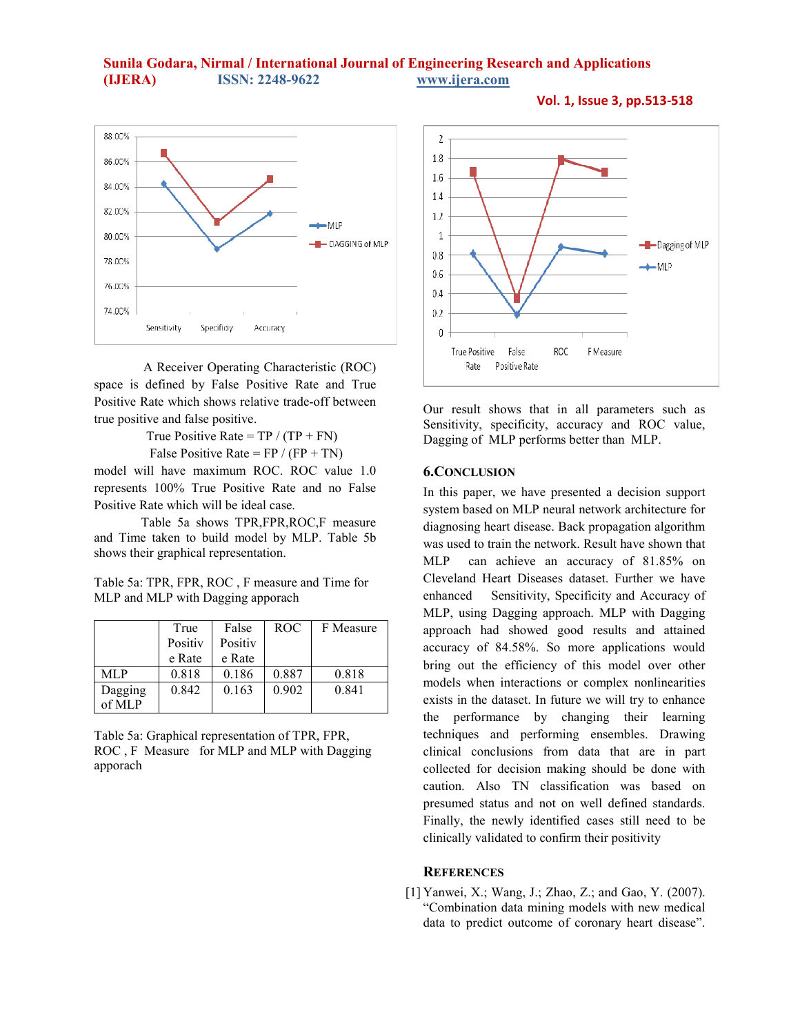### **Sunila Godara, Nirmal / International Journal of Engineering Research and Applications (IJERA) ISSN: 2248-9622 www.ijera.com**



 A Receiver Operating Characteristic (ROC) space is defined by False Positive Rate and True Positive Rate which shows relative trade-off between true positive and false positive.

> True Positive Rate =  $TP / (TP + FN)$ False Positive Rate =  $FP / (FP + TN)$

model will have maximum ROC. ROC value 1.0 represents 100% True Positive Rate and no False Positive Rate which will be ideal case.

Table 5a shows TPR,FPR,ROC,F measure and Time taken to build model by MLP. Table 5b shows their graphical representation.

Table 5a: TPR, FPR, ROC , F measure and Time for MLP and MLP with Dagging apporach

|         | True    | False   | ROC   | F Measure |
|---------|---------|---------|-------|-----------|
|         | Positiv | Positiv |       |           |
|         | e Rate  | e Rate  |       |           |
| MLP     | 0.818   | 0.186   | 0.887 | 0.818     |
| Dagging | 0.842   | 0.163   | 0.902 | 0.841     |
| of MLP  |         |         |       |           |

Table 5a: Graphical representation of TPR, FPR, ROC , F Measure for MLP and MLP with Dagging apporach



**Vol. 1, Issue 3, pp.513-518**

Our result shows that in all parameters such as Sensitivity, specificity, accuracy and ROC value, Dagging of MLP performs better than MLP.

#### **6.CONCLUSION**

In this paper, we have presented a decision support system based on MLP neural network architecture for diagnosing heart disease. Back propagation algorithm was used to train the network. Result have shown that MLP can achieve an accuracy of 81.85% on Cleveland Heart Diseases dataset. Further we have enhanced Sensitivity, Specificity and Accuracy of MLP, using Dagging approach. MLP with Dagging approach had showed good results and attained accuracy of 84.58%. So more applications would bring out the efficiency of this model over other models when interactions or complex nonlinearities exists in the dataset. In future we will try to enhance the performance by changing their learning techniques and performing ensembles. Drawing clinical conclusions from data that are in part collected for decision making should be done with caution. Also TN classification was based on presumed status and not on well defined standards. Finally, the newly identified cases still need to be clinically validated to confirm their positivity

### **REFERENCES**

[1] Yanwei, X.; Wang, J.; Zhao, Z.; and Gao, Y. (2007). "Combination data mining models with new medical data to predict outcome of coronary heart disease".